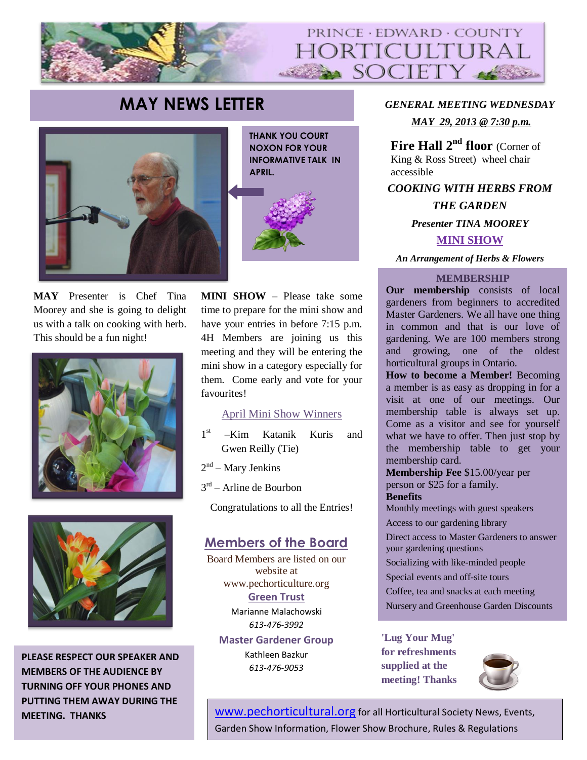

# **MAY NEWS LETTER** *GENERAL MEETING WEDNESDAY*



**THANK YOU COURT NOXON FOR YOUR INFORMATIVE TALK IN APRIL.**



**MAY** Presenter is Chef Tina Moorey and she is going to delight us with a talk on cooking with herb. This should be a fun night!





**PLEASE RESPECT OUR SPEAKER AND MEMBERS OF THE AUDIENCE BY TURNING OFF YOUR PHONES AND PUTTING THEM AWAY DURING THE MEETING. THANKS**

**MINI SHOW** – Please take some time to prepare for the mini show and have your entries in before 7:15 p.m. 4H Members are joining us this meeting and they will be entering the mini show in a category especially for them. Come early and vote for your favourites!

#### April Mini Show Winners

- 1 st –Kim Katanik Kuris and Gwen Reilly (Tie)
- 2<sup>nd</sup> Mary Jenkins
- 3<sup>rd</sup> Arline de Bourbon

Congratulations to all the Entries!

## **Members of the Board**

Board Members are listed on our website at www.pechorticulture.org **Green Trust**  Marianne Malachowski *613-476-3992* **Master Gardener Group**

Kathleen Bazkur *613-476-9053*

*MAY 29, 2013 @ 7:30 p.m.*

**Fire Hall 2nd floor** (Corner of King & Ross Street) wheel chair accessible

*COOKING WITH HERBS FROM THE GARDEN Presenter TINA MOOREY* **MINI SHOW**

*An Arrangement of Herbs & Flowers*

#### **MEMBERSHIP**

**Our membership** consists of local gardeners from beginners to accredited Master Gardeners. We all have one thing in common and that is our love of gardening. We are 100 members strong and growing, one of the oldest horticultural groups in Ontario.

**How to become a Member!** Becoming a member is as easy as dropping in for a visit at one of our meetings. Our membership table is always set up. Come as a visitor and see for yourself what we have to offer. Then just stop by the membership table to get your membership card.

**Membership Fee** \$15.00/year per person or \$25 for a family. **Benefits** 

Monthly meetings with guest speakers

Access to our gardening library

Direct access to Master Gardeners to answer your gardening questions

Socializing with like-minded people

Special events and off-site tours

Coffee, tea and snacks at each meeting

Nursery and Greenhouse Garden Discounts

**weighted at the contract of the contract of the contract of the contract of the contract of the contract of the contract of the contract of the contract of the contract of the contract of the contract of the contract of t 'Lug Your Mug' for refreshments supplied at the** 



[www.pechorticultural.org](http://www.pechorticultural.org/) for all Horticultural Society News, Events, Garden Show Information, Flower Show Brochure, Rules & Regulations